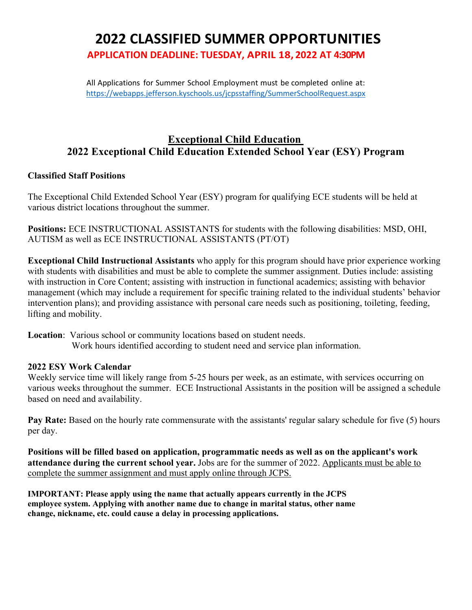# **2022 CLASSIFIED SUMMER OPPORTUNITIES APPLICATION DEADLINE: TUESDAY, APRIL 18, 2022 AT 4:30PM**

All Applications for Summer School .Employment must be completed online at: https://webapps.jefferson.kyschools.us/jcpsstaffing/SummerSchoolRequest.aspx

## **Exceptional Child Education 2022 Exceptional Child Education Extended School Year (ESY) Program**

## **Classified Staff Positions**

The Exceptional Child Extended School Year (ESY) program for qualifying ECE students will be held at various district locations throughout the summer.

**Positions:** ECE INSTRUCTIONAL ASSISTANTS for students with the following disabilities: MSD, OHI, AUTISM as well as ECE INSTRUCTIONAL ASSISTANTS (PT/OT)

**Exceptional Child Instructional Assistants** who apply for this program should have prior experience working with students with disabilities and must be able to complete the summer assignment. Duties include: assisting with instruction in Core Content; assisting with instruction in functional academics; assisting with behavior management (which may include a requirement for specific training related to the individual students' behavior intervention plans); and providing assistance with personal care needs such as positioning, toileting, feeding, lifting and mobility.

**Location**: Various school or community locations based on student needs. Work hours identified according to student need and service plan information.

### **2022 ESY Work Calendar**

Weekly service time will likely range from 5-25 hours per week, as an estimate, with services occurring on various weeks throughout the summer. ECE Instructional Assistants in the position will be assigned a schedule based on need and availability.

**Pay Rate:** Based on the hourly rate commensurate with the assistants' regular salary schedule for five (5) hours per day.

**Positions will be filled based on application, programmatic needs as well as on the applicant's work attendance during the current school year.** Jobs are for the summer of 2022. Applicants must be able to complete the summer assignment and must apply online through JCPS.

**IMPORTANT: Please apply using the name that actually appears currently in the JCPS employee system. Applying with another name due to change in marital status, other name change, nickname, etc. could cause a delay in processing applications.**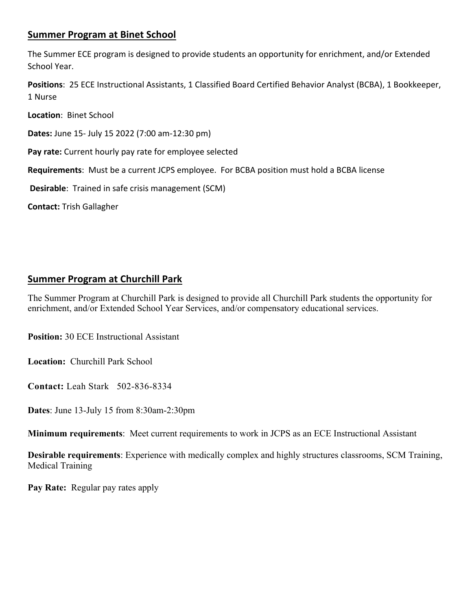## **Summer Program at Binet School**

The Summer ECE program is designed to provide students an opportunity for enrichment, and/or Extended School Year.

**Positions**: 25 ECE Instructional Assistants, 1 Classified Board Certified Behavior Analyst (BCBA), 1 Bookkeeper, 1 Nurse

**Location**: Binet School

**Dates:** June 15- July 15 2022 (7:00 am-12:30 pm)

**Pay rate:** Current hourly pay rate for employee selected

**Requirements**: Must be a current JCPS employee. For BCBA position must hold a BCBA license

**Desirable**: Trained in safe crisis management (SCM)

**Contact:** Trish Gallagher

## **Summer Program at Churchill Park**

The Summer Program at Churchill Park is designed to provide all Churchill Park students the opportunity for enrichment, and/or Extended School Year Services, and/or compensatory educational services.

**Position:** 30 ECE Instructional Assistant

**Location:** Churchill Park School

**Contact:** Leah Stark 502-836-8334

**Dates**: June 13-July 15 from 8:30am-2:30pm

**Minimum requirements**: Meet current requirements to work in JCPS as an ECE Instructional Assistant

**Desirable requirements**: Experience with medically complex and highly structures classrooms, SCM Training, Medical Training

**Pay Rate:** Regular pay rates apply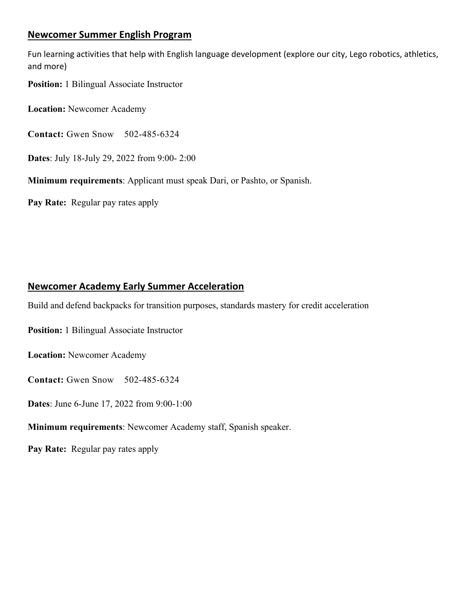## **Newcomer Summer English Program**

Fun learning activities that help with English language development (explore our city, Lego robotics, athletics, and more)

**Position:** 1 Bilingual Associate Instructor

**Location:** Newcomer Academy

**Contact:** Gwen Snow 502-485-6324

**Dates**: July 18-July 29, 2022 from 9:00- 2:00

**Minimum requirements**: Applicant must speak Dari, or Pashto, or Spanish.

**Pay Rate:** Regular pay rates apply

## **Newcomer Academy Early Summer Acceleration**

Build and defend backpacks for transition purposes, standards mastery for credit acceleration

**Position:** 1 Bilingual Associate Instructor

**Location:** Newcomer Academy

**Contact:** Gwen Snow 502-485-6324

**Dates**: June 6-June 17, 2022 from 9:00-1:00

**Minimum requirements**: Newcomer Academy staff, Spanish speaker.

**Pay Rate:** Regular pay rates apply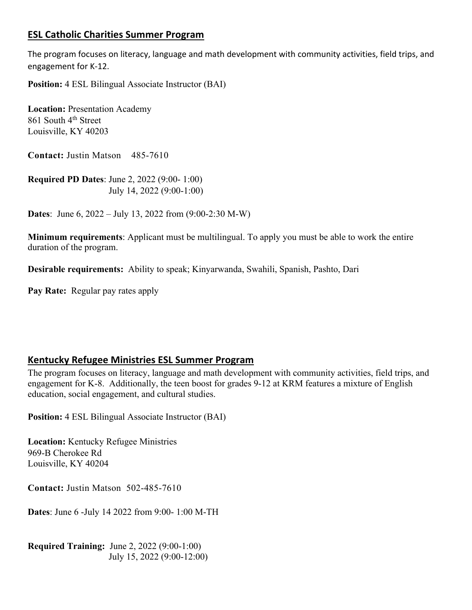## **ESL Catholic Charities Summer Program**

The program focuses on literacy, language and math development with community activities, field trips, and engagement for K-12.

**Position:** 4 ESL Bilingual Associate Instructor (BAI)

**Location:** Presentation Academy 861 South 4th Street Louisville, KY 40203

**Contact:** Justin Matson 485-7610

**Required PD Dates**: June 2, 2022 (9:00- 1:00) July 14, 2022 (9:00-1:00)

**Dates**: June 6, 2022 – July 13, 2022 from (9:00-2:30 M-W)

**Minimum requirements**: Applicant must be multilingual. To apply you must be able to work the entire duration of the program.

**Desirable requirements:** Ability to speak; Kinyarwanda, Swahili, Spanish, Pashto, Dari

**Pay Rate:** Regular pay rates apply

## **Kentucky Refugee Ministries ESL Summer Program**

The program focuses on literacy, language and math development with community activities, field trips, and engagement for K-8. Additionally, the teen boost for grades 9-12 at KRM features a mixture of English education, social engagement, and cultural studies.

**Position:** 4 ESL Bilingual Associate Instructor (BAI)

**Location:** Kentucky Refugee Ministries 969-B Cherokee Rd Louisville, KY 40204

**Contact:** Justin Matson 502-485-7610

**Dates**: June 6 -July 14 2022 from 9:00- 1:00 M-TH

**Required Training:** June 2, 2022 (9:00-1:00) July 15, 2022 (9:00-12:00)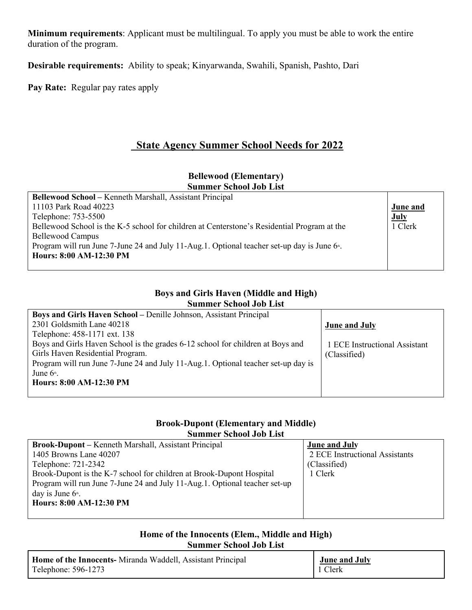**Minimum requirements**: Applicant must be multilingual. To apply you must be able to work the entire duration of the program.

**Desirable requirements:** Ability to speak; Kinyarwanda, Swahili, Spanish, Pashto, Dari

**Pay Rate:** Regular pay rates apply

## **State Agency Summer School Needs for 2022**

#### **Bellewood (Elementary) Summer School Job List**

| <b>Bellewood School – Kenneth Marshall, Assistant Principal</b>                                          |                 |
|----------------------------------------------------------------------------------------------------------|-----------------|
| 11103 Park Road 40223                                                                                    | <b>June and</b> |
| Telephone: 753-5500                                                                                      | <b>July</b>     |
| Bellewood School is the K-5 school for children at Centerstone's Residential Program at the              | 1 Clerk         |
| Bellewood Campus                                                                                         |                 |
| Program will run June 7-June 24 and July 11-Aug.1. Optional teacher set-up day is June 6 <sup>th</sup> . |                 |
| Hours: 8:00 AM-12:30 PM                                                                                  |                 |
|                                                                                                          |                 |

## **Boys and Girls Haven (Middle and High)**

#### **Summer School Job List**

| Boys and Girls Haven School – Denille Johnson, Assistant Principal                |                               |
|-----------------------------------------------------------------------------------|-------------------------------|
| 2301 Goldsmith Lane 40218                                                         | <b>June and July</b>          |
| Telephone: 458-1171 ext. 138                                                      |                               |
| Boys and Girls Haven School is the grades 6-12 school for children at Boys and    | 1 ECE Instructional Assistant |
| Girls Haven Residential Program.                                                  | (Classified)                  |
| Program will run June 7-June 24 and July 11-Aug.1. Optional teacher set-up day is |                               |
| June $6th$ .                                                                      |                               |
| Hours: 8:00 AM-12:30 PM                                                           |                               |
|                                                                                   |                               |

#### **Brook-Dupont (Elementary and Middle) Summer School Job List**

| <b>Brook-Dupont</b> – Kenneth Marshall, Assistant Principal                | <b>June and July</b>           |
|----------------------------------------------------------------------------|--------------------------------|
| 1405 Browns Lane 40207                                                     | 2 ECE Instructional Assistants |
| Telephone: 721-2342                                                        | (Classified)                   |
| Brook-Dupont is the K-7 school for children at Brook-Dupont Hospital       | 1 Clerk                        |
| Program will run June 7-June 24 and July 11-Aug.1. Optional teacher set-up |                                |
| day is June $6^{\text{th}}$ .                                              |                                |
| Hours: 8:00 AM-12:30 PM                                                    |                                |
|                                                                            |                                |

### **Home of the Innocents (Elem., Middle and High) Summer School Job List**

| <b>Home of the Innocents-</b> Miranda Waddell, Assistant Principal | <b>June and July</b> |
|--------------------------------------------------------------------|----------------------|
| Telephone: 596-1273                                                | 1 Clerk              |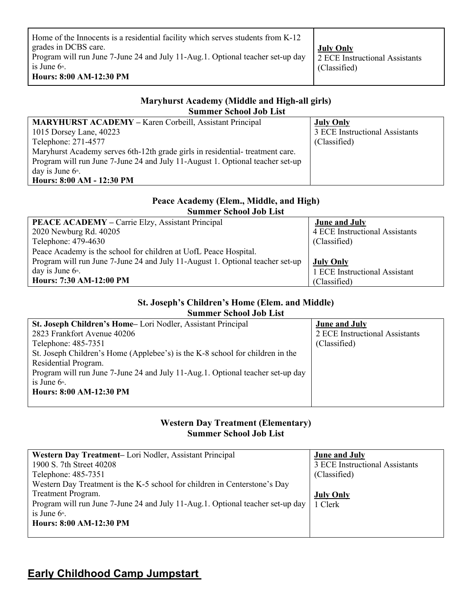| Home of the Innocents is a residential facility which serves students from K-12                                 |                  |
|-----------------------------------------------------------------------------------------------------------------|------------------|
| grades in DCBS care.                                                                                            | <b>July Only</b> |
| Program will run June 7-June 24 and July 11-Aug.1. Optional teacher set-up day   2 ECE Instructional Assistants |                  |
| is June $6th$ .                                                                                                 | (Classified)     |
| Hours: 8:00 AM-12:30 PM                                                                                         |                  |

#### **Maryhurst Academy (Middle and High-all girls) Summer School Job List**

| <b>MARYHURST ACADEMY - Karen Corbeill, Assistant Principal</b>                | <b>July Only</b>               |
|-------------------------------------------------------------------------------|--------------------------------|
| 1015 Dorsey Lane, 40223                                                       | 3 ECE Instructional Assistants |
| Telephone: 271-4577                                                           | (Classified)                   |
| Maryhurst Academy serves 6th-12th grade girls in residential- treatment care. |                                |
| Program will run June 7-June 24 and July 11-August 1. Optional teacher set-up |                                |
| day is June $6^{\text{th}}$ .                                                 |                                |
| Hours: 8:00 AM - 12:30 PM                                                     |                                |

#### **Peace Academy (Elem., Middle, and High) Summer School Job List**

| <b>PEACE ACADEMY</b> – Carrie Elzy, Assistant Principal                       | <b>June and July</b>           |
|-------------------------------------------------------------------------------|--------------------------------|
| 2020 Newburg Rd. 40205                                                        | 4 ECE Instructional Assistants |
| Telephone: 479-4630                                                           | (Classified)                   |
| Peace Academy is the school for children at UofL Peace Hospital.              |                                |
| Program will run June 7-June 24 and July 11-August 1. Optional teacher set-up | <b>July Only</b>               |
| day is June $6th$ .                                                           | 1 ECE Instructional Assistant  |
| Hours: 7:30 AM-12:00 PM                                                       | (Classified)                   |

### **St. Joseph's Children's Home (Elem. and Middle) Summer School Job List**

| St. Joseph Children's Home-Lori Nodler, Assistant Principal                    | <b>June and July</b>           |
|--------------------------------------------------------------------------------|--------------------------------|
| 2823 Frankfort Avenue 40206                                                    | 2 ECE Instructional Assistants |
| Telephone: 485-7351                                                            | (Classified)                   |
| St. Joseph Children's Home (Applebee's) is the K-8 school for children in the  |                                |
| Residential Program.                                                           |                                |
| Program will run June 7-June 24 and July 11-Aug.1. Optional teacher set-up day |                                |
| is June $6^{\text{th}}$ .                                                      |                                |
| Hours: 8:00 AM-12:30 PM                                                        |                                |
|                                                                                |                                |

### **Western Day Treatment (Elementary) Summer School Job List**

| Western Day Treatment-Lori Nodler, Assistant Principal                         | <b>June and July</b>           |
|--------------------------------------------------------------------------------|--------------------------------|
| 1900 S. 7th Street 40208                                                       | 3 ECE Instructional Assistants |
| Telephone: 485-7351                                                            | (Classified)                   |
| Western Day Treatment is the K-5 school for children in Centerstone's Day      |                                |
| Treatment Program.                                                             | <b>July Only</b>               |
| Program will run June 7-June 24 and July 11-Aug.1. Optional teacher set-up day | 1 Clerk                        |
| is June $6^{\circ}$ .                                                          |                                |
| Hours: 8:00 AM-12:30 PM                                                        |                                |
|                                                                                |                                |

## **Early Childhood Camp Jumpstart**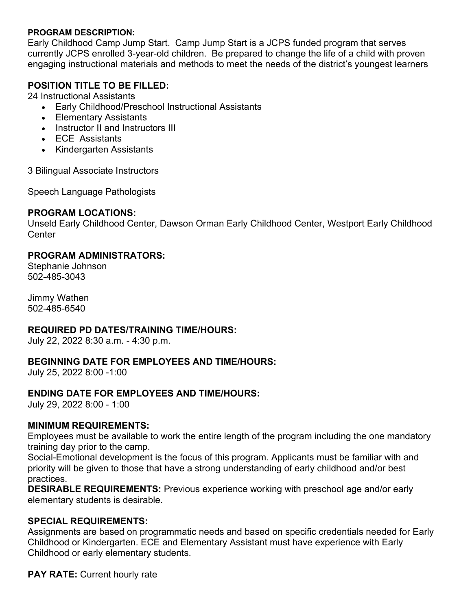#### **PROGRAM DESCRIPTION:**

Early Childhood Camp Jump Start. Camp Jump Start is a JCPS funded program that serves currently JCPS enrolled 3-year-old children. Be prepared to change the life of a child with proven engaging instructional materials and methods to meet the needs of the district's youngest learners

## **POSITION TITLE TO BE FILLED:**

24 Instructional Assistants

- Early Childhood/Preschool Instructional Assistants
- Elementary Assistants
- Instructor II and Instructors III
- ECE Assistants
- Kindergarten Assistants

3 Bilingual Associate Instructors

Speech Language Pathologists

### **PROGRAM LOCATIONS:**

Unseld Early Childhood Center, Dawson Orman Early Childhood Center, Westport Early Childhood **Center** 

## **PROGRAM ADMINISTRATORS:**

Stephanie Johnson 502-485-3043

Jimmy Wathen 502-485-6540

## **REQUIRED PD DATES/TRAINING TIME/HOURS:**

July 22, 2022 8:30 a.m. - 4:30 p.m.

### **BEGINNING DATE FOR EMPLOYEES AND TIME/HOURS:**

July 25, 2022 8:00 -1:00

### **ENDING DATE FOR EMPLOYEES AND TIME/HOURS:**

July 29, 2022 8:00 - 1:00

### **MINIMUM REQUIREMENTS:**

Employees must be available to work the entire length of the program including the one mandatory training day prior to the camp.

Social-Emotional development is the focus of this program. Applicants must be familiar with and priority will be given to those that have a strong understanding of early childhood and/or best practices.

**DESIRABLE REQUIREMENTS:** Previous experience working with preschool age and/or early elementary students is desirable.

### **SPECIAL REQUIREMENTS:**

Assignments are based on programmatic needs and based on specific credentials needed for Early Childhood or Kindergarten. ECE and Elementary Assistant must have experience with Early Childhood or early elementary students.

**PAY RATE:** Current hourly rate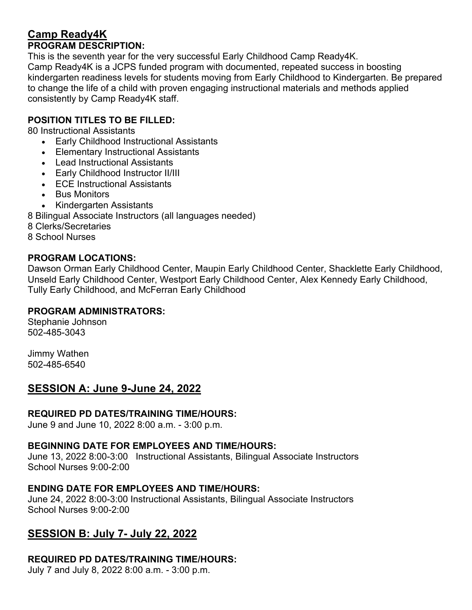## **Camp Ready4K PROGRAM DESCRIPTION:**

This is the seventh year for the very successful Early Childhood Camp Ready4K. Camp Ready4K is a JCPS funded program with documented, repeated success in boosting kindergarten readiness levels for students moving from Early Childhood to Kindergarten. Be prepared to change the life of a child with proven engaging instructional materials and methods applied consistently by Camp Ready4K staff.

## **POSITION TITLES TO BE FILLED:**

80 Instructional Assistants

- Early Childhood Instructional Assistants
- Elementary Instructional Assistants
- Lead Instructional Assistants
- Early Childhood Instructor II/III
- ECE Instructional Assistants
- Bus Monitors
- Kindergarten Assistants

8 Bilingual Associate Instructors (all languages needed)

8 Clerks/Secretaries

8 School Nurses

## **PROGRAM LOCATIONS:**

Dawson Orman Early Childhood Center, Maupin Early Childhood Center, Shacklette Early Childhood, Unseld Early Childhood Center, Westport Early Childhood Center, Alex Kennedy Early Childhood, Tully Early Childhood, and McFerran Early Childhood

### **PROGRAM ADMINISTRATORS:**

Stephanie Johnson 502-485-3043

Jimmy Wathen 502-485-6540

## **SESSION A: June 9-June 24, 2022**

### **REQUIRED PD DATES/TRAINING TIME/HOURS:**

June 9 and June 10, 2022 8:00 a.m. - 3:00 p.m.

### **BEGINNING DATE FOR EMPLOYEES AND TIME/HOURS:**

June 13, 2022 8:00-3:00 Instructional Assistants, Bilingual Associate Instructors School Nurses 9:00-2:00

## **ENDING DATE FOR EMPLOYEES AND TIME/HOURS:**

June 24, 2022 8:00-3:00 Instructional Assistants, Bilingual Associate Instructors School Nurses 9:00-2:00

## **SESSION B: July 7- July 22, 2022**

## **REQUIRED PD DATES/TRAINING TIME/HOURS:**

July 7 and July 8, 2022 8:00 a.m. - 3:00 p.m.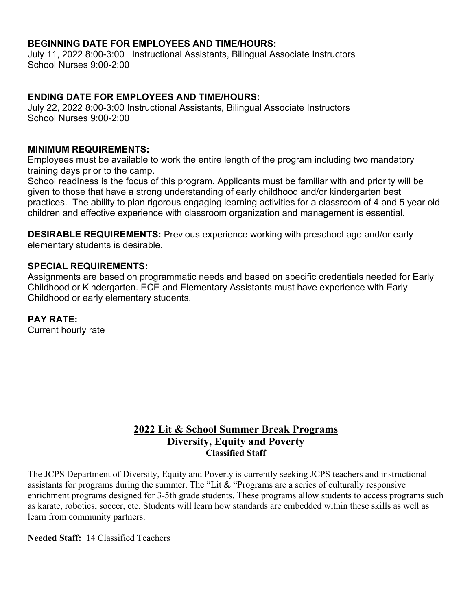## **BEGINNING DATE FOR EMPLOYEES AND TIME/HOURS:**

July 11, 2022 8:00-3:00 Instructional Assistants, Bilingual Associate Instructors School Nurses 9:00-2:00

## **ENDING DATE FOR EMPLOYEES AND TIME/HOURS:**

July 22, 2022 8:00-3:00 Instructional Assistants, Bilingual Associate Instructors School Nurses 9:00-2:00

### **MINIMUM REQUIREMENTS:**

Employees must be available to work the entire length of the program including two mandatory training days prior to the camp.

School readiness is the focus of this program. Applicants must be familiar with and priority will be given to those that have a strong understanding of early childhood and/or kindergarten best practices. The ability to plan rigorous engaging learning activities for a classroom of 4 and 5 year old children and effective experience with classroom organization and management is essential.

**DESIRABLE REQUIREMENTS:** Previous experience working with preschool age and/or early elementary students is desirable.

#### **SPECIAL REQUIREMENTS:**

Assignments are based on programmatic needs and based on specific credentials needed for Early Childhood or Kindergarten. ECE and Elementary Assistants must have experience with Early Childhood or early elementary students.

## **PAY RATE:**

Current hourly rate

## **2022 Lit & School Summer Break Programs Diversity, Equity and Poverty Classified Staff**

The JCPS Department of Diversity, Equity and Poverty is currently seeking JCPS teachers and instructional assistants for programs during the summer. The "Lit & "Programs are a series of culturally responsive enrichment programs designed for 3-5th grade students. These programs allow students to access programs such as karate, robotics, soccer, etc. Students will learn how standards are embedded within these skills as well as learn from community partners.

#### **Needed Staff:** 14 Classified Teachers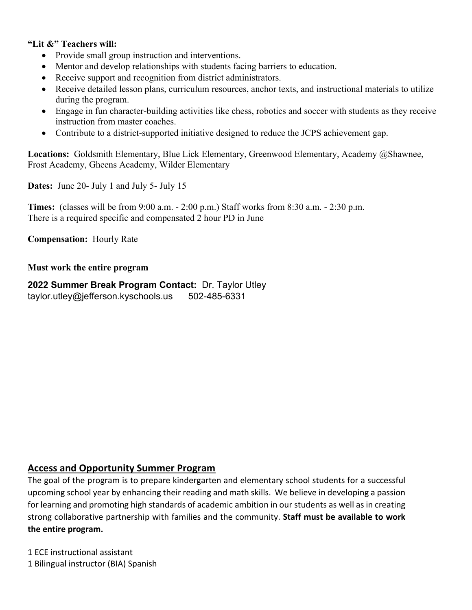### **"Lit &" Teachers will:**

- Provide small group instruction and interventions.
- Mentor and develop relationships with students facing barriers to education.
- Receive support and recognition from district administrators.
- Receive detailed lesson plans, curriculum resources, anchor texts, and instructional materials to utilize during the program.
- Engage in fun character-building activities like chess, robotics and soccer with students as they receive instruction from master coaches.
- Contribute to a district-supported initiative designed to reduce the JCPS achievement gap.

**Locations:** Goldsmith Elementary, Blue Lick Elementary, Greenwood Elementary, Academy @Shawnee, Frost Academy, Gheens Academy, Wilder Elementary

**Dates:** June 20- July 1 and July 5- July 15

**Times:** (classes will be from 9:00 a.m. - 2:00 p.m.) Staff works from 8:30 a.m. - 2:30 p.m. There is a required specific and compensated 2 hour PD in June

**Compensation:** Hourly Rate

#### **Must work the entire program**

**2022 Summer Break Program Contact:** Dr. Taylor Utley taylor.utley@jefferson.kyschools.us 502-485-6331

### **Access and Opportunity Summer Program**

The goal of the program is to prepare kindergarten and elementary school students for a successful upcoming school year by enhancing their reading and math skills. We believe in developing a passion for learning and promoting high standards of academic ambition in our students as well as in creating strong collaborative partnership with families and the community. **Staff must be available to work the entire program.** 

1 ECE instructional assistant 1 Bilingual instructor (BIA) Spanish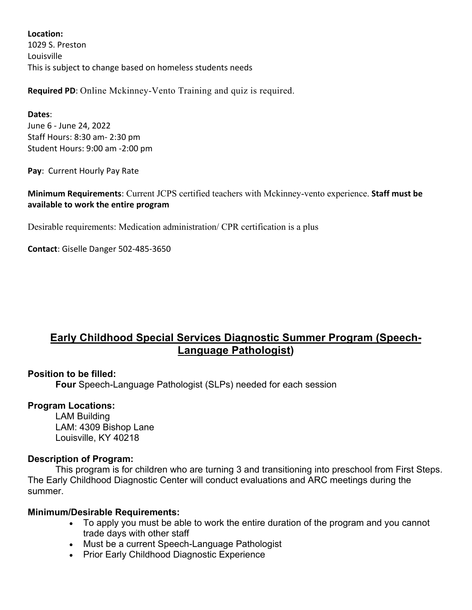**Location:** 1029 S. Preston Louisville This is subject to change based on homeless students needs

**Required PD**: Online Mckinney-Vento Training and quiz is required.

**Dates**: June 6 - June 24, 2022 Staff Hours: 8:30 am- 2:30 pm Student Hours: 9:00 am -2:00 pm

**Pay**: Current Hourly Pay Rate

**Minimum Requirements**: Current JCPS certified teachers with Mckinney-vento experience. **Staff must be available to work the entire program**

Desirable requirements: Medication administration/ CPR certification is a plus

**Contact**: Giselle Danger 502-485-3650

## **Early Childhood Special Services Diagnostic Summer Program (Speech-Language Pathologist)**

## **Position to be filled:**

**Four** Speech-Language Pathologist (SLPs) needed for each session

### **Program Locations:**

LAM Building LAM: 4309 Bishop Lane Louisville, KY 40218

### **Description of Program:**

This program is for children who are turning 3 and transitioning into preschool from First Steps. The Early Childhood Diagnostic Center will conduct evaluations and ARC meetings during the summer.

### **Minimum/Desirable Requirements:**

- To apply you must be able to work the entire duration of the program and you cannot trade days with other staff
- Must be a current Speech-Language Pathologist
- Prior Early Childhood Diagnostic Experience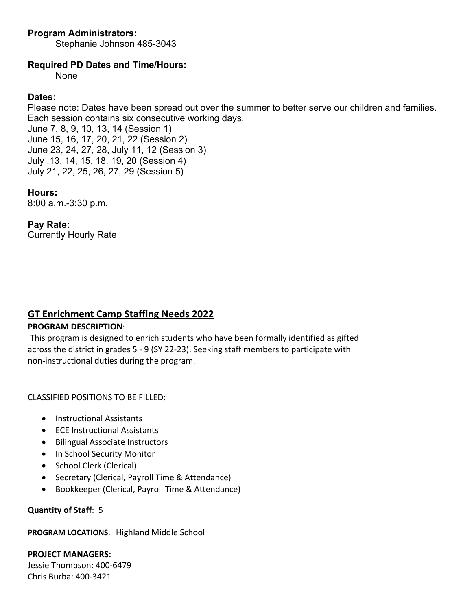## **Program Administrators:**

Stephanie Johnson 485-3043

## **Required PD Dates and Time/Hours:**

None

## **Dates:**

Please note: Dates have been spread out over the summer to better serve our children and families. Each session contains six consecutive working days. June 7, 8, 9, 10, 13, 14 (Session 1)

June 15, 16, 17, 20, 21, 22 (Session 2) June 23, 24, 27, 28, July 11, 12 (Session 3) July .13, 14, 15, 18, 19, 20 (Session 4) July 21, 22, 25, 26, 27, 29 (Session 5)

### **Hours:**

8:00 a.m.-3:30 p.m.

## **Pay Rate:**

Currently Hourly Rate

## **GT Enrichment Camp Staffing Needs 2022**

### **PROGRAM DESCRIPTION**:

This program is designed to enrich students who have been formally identified as gifted across the district in grades 5 - 9 (SY 22-23). Seeking staff members to participate with non-instructional duties during the program.

CLASSIFIED POSITIONS TO BE FILLED:

- Instructional Assistants
- ECE Instructional Assistants
- Bilingual Associate Instructors
- In School Security Monitor
- School Clerk (Clerical)
- Secretary (Clerical, Payroll Time & Attendance)
- Bookkeeper (Clerical, Payroll Time & Attendance)

### **Quantity of Staff**: 5

**PROGRAM LOCATIONS**: Highland Middle School

**PROJECT MANAGERS:** Jessie Thompson: 400-6479 Chris Burba: 400-3421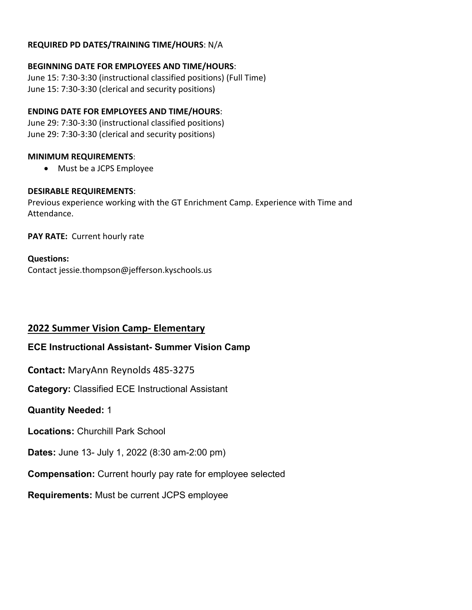#### **REQUIRED PD DATES/TRAINING TIME/HOURS**: N/A

## **BEGINNING DATE FOR EMPLOYEES AND TIME/HOURS**:

June 15: 7:30-3:30 (instructional classified positions) (Full Time) June 15: 7:30-3:30 (clerical and security positions)

## **ENDING DATE FOR EMPLOYEES AND TIME/HOURS**:

June 29: 7:30-3:30 (instructional classified positions) June 29: 7:30-3:30 (clerical and security positions)

## **MINIMUM REQUIREMENTS**:

• Must be a JCPS Employee

## **DESIRABLE REQUIREMENTS**:

Previous experience working with the GT Enrichment Camp. Experience with Time and Attendance.

**PAY RATE:** Current hourly rate

## **Questions:**

Contact jessie.thompson@jefferson.kyschools.us

## **2022 Summer Vision Camp- Elementary**

## **ECE Instructional Assistant- Summer Vision Camp**

**Contact:** MaryAnn Reynolds 485-3275

**Category:** Classified ECE Instructional Assistant

## **Quantity Needed:** 1

**Locations:** Churchill Park School

**Dates:** June 13- July 1, 2022 (8:30 am-2:00 pm)

**Compensation:** Current hourly pay rate for employee selected

## **Requirements:** Must be current JCPS employee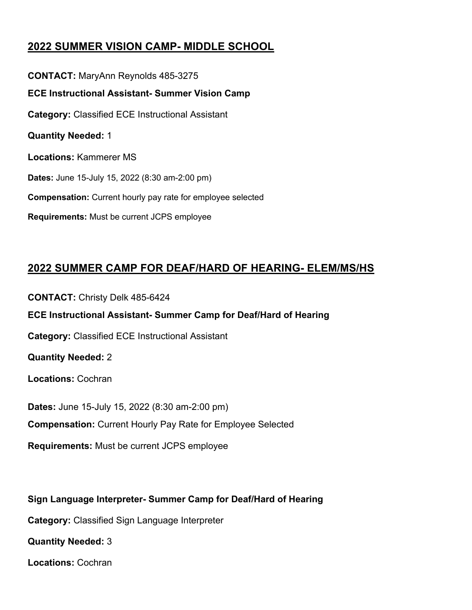## **2022 SUMMER VISION CAMP- MIDDLE SCHOOL**

**CONTACT:** MaryAnn Reynolds 485-3275 **ECE Instructional Assistant- Summer Vision Camp Category:** Classified ECE Instructional Assistant **Quantity Needed:** 1 **Locations:** Kammerer MS **Dates:** June 15-July 15, 2022 (8:30 am-2:00 pm) **Compensation:** Current hourly pay rate for employee selected **Requirements:** Must be current JCPS employee

## **2022 SUMMER CAMP FOR DEAF/HARD OF HEARING- ELEM/MS/HS**

**CONTACT:** Christy Delk 485-6424 **ECE Instructional Assistant- Summer Camp for Deaf/Hard of Hearing Category:** Classified ECE Instructional Assistant **Quantity Needed:** 2 **Locations:** Cochran **Dates:** June 15-July 15, 2022 (8:30 am-2:00 pm) **Compensation:** Current Hourly Pay Rate for Employee Selected **Requirements:** Must be current JCPS employee

**Sign Language Interpreter- Summer Camp for Deaf/Hard of Hearing Category:** Classified Sign Language Interpreter **Quantity Needed:** 3 **Locations:** Cochran